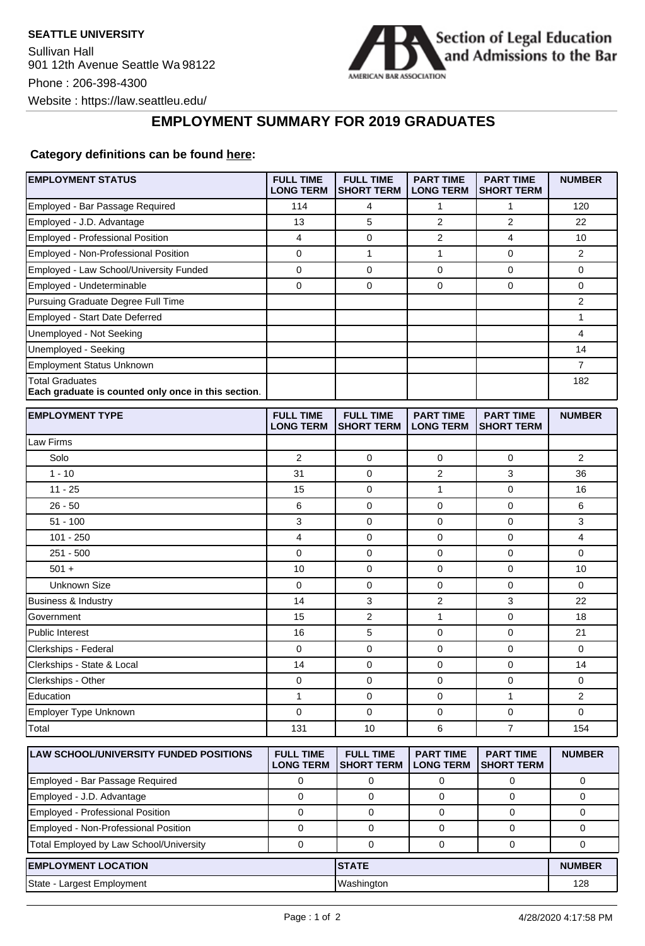

## **EMPLOYMENT SUMMARY FOR 2019 GRADUATES**

## **Category definitions can be found [here:](https://www.americanbar.org/content/dam/aba/administrative/legal_education_and_admissions_to_the_bar/Questionnaires/2020employmentquestionnaire/2020-aba-employment-protocols-class-of-2019.pdf)**

| <b>EMPLOYMENT STATUS</b>                                                      | <b>FULL TIME</b><br><b>LONG TERM</b> | <b>FULL TIME</b><br><b>SHORT TERM</b> | <b>PART TIME</b><br><b>LONG TERM</b> | <b>PART TIME</b><br><b>SHORT TERM</b> | <b>NUMBER</b>  |
|-------------------------------------------------------------------------------|--------------------------------------|---------------------------------------|--------------------------------------|---------------------------------------|----------------|
| Employed - Bar Passage Required                                               | 114                                  | 4                                     | 1                                    | 1                                     | 120            |
| Employed - J.D. Advantage                                                     | 13                                   | 5                                     | 2                                    | $\overline{2}$                        | 22             |
| Employed - Professional Position                                              | 4                                    | 0                                     | 2                                    | 4                                     | 10             |
| Employed - Non-Professional Position                                          | 0                                    | $\mathbf{1}$                          | $\mathbf{1}$                         | 0                                     | $\overline{2}$ |
| Employed - Law School/University Funded                                       | 0                                    | 0                                     | $\mathbf 0$                          | $\pmb{0}$                             | 0              |
| Employed - Undeterminable                                                     | 0                                    | 0                                     | 0                                    | $\mathbf 0$                           | 0              |
| Pursuing Graduate Degree Full Time                                            |                                      |                                       |                                      |                                       | $\overline{2}$ |
| Employed - Start Date Deferred                                                |                                      |                                       |                                      |                                       | 1              |
| Unemployed - Not Seeking                                                      |                                      |                                       |                                      |                                       | 4              |
| Unemployed - Seeking                                                          |                                      |                                       |                                      |                                       | 14             |
| <b>Employment Status Unknown</b>                                              |                                      |                                       |                                      |                                       | 7              |
| <b>Total Graduates</b><br>Each graduate is counted only once in this section. |                                      |                                       |                                      |                                       | 182            |
| <b>EMPLOYMENT TYPE</b>                                                        | <b>FULL TIME</b><br><b>LONG TERM</b> | <b>FULL TIME</b><br><b>SHORT TERM</b> | <b>PART TIME</b><br><b>LONG TERM</b> | <b>PART TIME</b><br><b>SHORT TERM</b> | <b>NUMBER</b>  |
| Law Firms                                                                     |                                      |                                       |                                      |                                       |                |
| Solo                                                                          | 2                                    | $\mathbf 0$                           | 0                                    | 0                                     | $\overline{2}$ |
| $1 - 10$                                                                      | 31                                   | 0                                     | 2                                    | 3                                     | 36             |
| $11 - 25$                                                                     | 15                                   | 0                                     | 1                                    | 0                                     | 16             |
| $26 - 50$                                                                     | 6                                    | $\mathbf 0$                           | 0                                    | $\mathbf 0$                           | 6              |
| $51 - 100$                                                                    | 3                                    | 0                                     | 0                                    | $\mathbf 0$                           | 3              |
| $101 - 250$                                                                   | 4                                    | $\mathbf 0$                           | 0                                    | $\mathbf 0$                           | 4              |
| $251 - 500$                                                                   | 0                                    | 0                                     | 0                                    | $\mathbf 0$                           | 0              |
| $501 +$                                                                       | 10                                   | 0                                     | 0                                    | 0                                     | 10             |
| Unknown Size                                                                  | $\mathbf 0$                          | 0                                     | 0                                    | $\mathbf 0$                           | $\mathbf 0$    |
| <b>Business &amp; Industry</b>                                                | 14                                   | 3                                     | 2                                    | 3                                     | 22             |
| Government                                                                    | 15                                   | $\overline{2}$                        | $\mathbf{1}$                         | $\mathbf 0$                           | 18             |
| <b>Public Interest</b>                                                        | 16                                   | 5                                     | 0                                    | $\mathbf 0$                           | 21             |
| Clerkships - Federal                                                          | 0                                    | $\mathbf 0$                           | 0                                    | $\mathbf 0$                           | 0              |
| Clerkships - State & Local                                                    | 14                                   | 0                                     | 0                                    | $\mathbf 0$                           | 14             |
| Clerkships - Other                                                            | 0                                    | 0                                     | 0                                    | 0                                     | 0              |
| Education                                                                     | 1                                    | 0                                     | 0                                    | 1                                     | 2              |
| Employer Type Unknown                                                         | 0                                    | 0                                     | 0                                    | 0                                     | 0              |
| Total                                                                         | 131                                  | 10                                    | 6                                    | $\overline{7}$                        | 154            |
| <b>LAW SCHOOL/UNIVERSITY FUNDED POSITIONS</b>                                 | <b>FULL TIME</b><br><b>LONG TERM</b> | <b>FULL TIME</b><br><b>SHORT TERM</b> | <b>PART TIME</b><br><b>LONG TERM</b> | <b>PART TIME</b><br><b>SHORT TERM</b> | <b>NUMBER</b>  |
| Employed - Bar Passage Required                                               | 0                                    | 0                                     | 0                                    | 0                                     | 0              |
| Employed - J.D. Advantage                                                     | $\mathbf 0$                          | $\mathsf{O}\xspace$                   | $\mathbf 0$                          | 0                                     | 0              |
| Employed - Professional Position                                              | $\mathbf 0$                          | $\mathbf 0$                           | 0                                    | 0                                     | 0              |
| Employed - Non-Professional Position                                          | 0                                    | 0                                     | 0                                    | 0                                     | 0              |
| Total Employed by Law School/University                                       | $\pmb{0}$                            | $\mathbf 0$                           | $\mathbf 0$                          | 0                                     | 0              |
| <b>EMPLOYMENT LOCATION</b>                                                    |                                      | <b>STATE</b>                          |                                      |                                       | <b>NUMBER</b>  |
| State - Largest Employment                                                    |                                      | Washington                            |                                      |                                       | 128            |
|                                                                               |                                      |                                       |                                      |                                       |                |